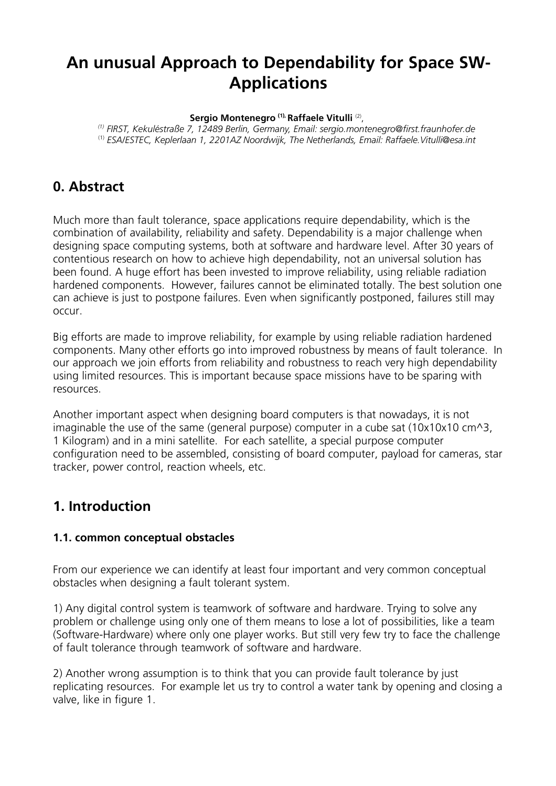# **An unusual Approach to Dependability for Space SW-Applications**

#### **Sergio Montenegro (1), Raffaele Vitulli** (2) ,

*(1) FIRST, Kekuléstraße 7, 12489 Berlin, Germany, Email: sergio.montenegro@first.fraunhofer.de* (1) *ESA/ESTEC, Keplerlaan 1, 2201AZ Noordwijk, The Netherlands, Email: Raffaele.Vitulli@esa.int*

### **0. Abstract**

Much more than fault tolerance, space applications require dependability, which is the combination of availability, reliability and safety. Dependability is a major challenge when designing space computing systems, both at software and hardware level. After 30 years of contentious research on how to achieve high dependability, not an universal solution has been found. A huge effort has been invested to improve reliability, using reliable radiation hardened components. However, failures cannot be eliminated totally. The best solution one can achieve is just to postpone failures. Even when significantly postponed, failures still may occur.

Big efforts are made to improve reliability, for example by using reliable radiation hardened components. Many other efforts go into improved robustness by means of fault tolerance. In our approach we join efforts from reliability and robustness to reach very high dependability using limited resources. This is important because space missions have to be sparing with resources.

Another important aspect when designing board computers is that nowadays, it is not imaginable the use of the same (general purpose) computer in a cube sat  $(10x10x10 cm<sup>3</sup>)$ , 1 Kilogram) and in a mini satellite. For each satellite, a special purpose computer configuration need to be assembled, consisting of board computer, payload for cameras, star tracker, power control, reaction wheels, etc.

### **1. Introduction**

#### **1.1. common conceptual obstacles**

From our experience we can identify at least four important and very common conceptual obstacles when designing a fault tolerant system.

1) Any digital control system is teamwork of software and hardware. Trying to solve any problem or challenge using only one of them means to lose a lot of possibilities, like a team (Software-Hardware) where only one player works. But still very few try to face the challenge of fault tolerance through teamwork of software and hardware.

2) Another wrong assumption is to think that you can provide fault tolerance by just replicating resources. For example let us try to control a water tank by opening and closing a valve, like in figure 1.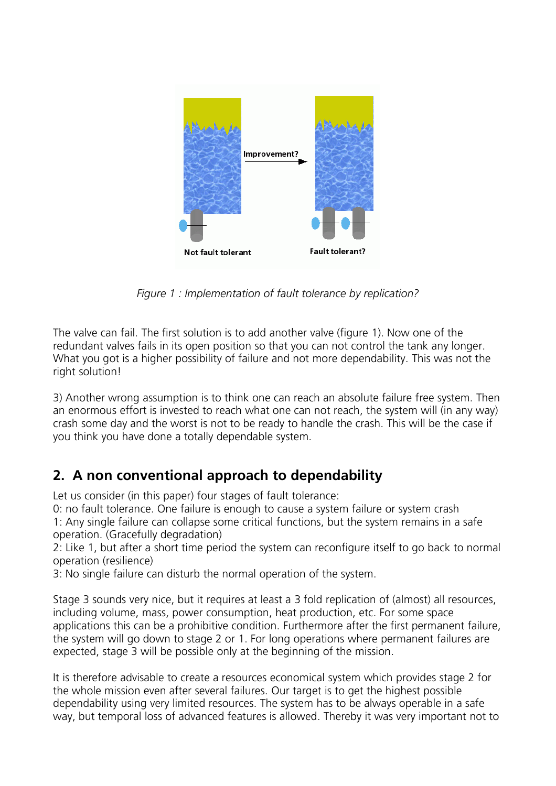

*Figure 1 : Implementation of fault tolerance by replication?*

The valve can fail. The first solution is to add another valve (figure 1). Now one of the redundant valves fails in its open position so that you can not control the tank any longer. What you got is a higher possibility of failure and not more dependability. This was not the right solution!

3) Another wrong assumption is to think one can reach an absolute failure free system. Then an enormous effort is invested to reach what one can not reach, the system will (in any way) crash some day and the worst is not to be ready to handle the crash. This will be the case if you think you have done a totally dependable system.

## **2. A non conventional approach to dependability**

Let us consider (in this paper) four stages of fault tolerance:

0: no fault tolerance. One failure is enough to cause a system failure or system crash 1: Any single failure can collapse some critical functions, but the system remains in a safe operation. (Gracefully degradation)

2: Like 1, but after a short time period the system can reconfigure itself to go back to normal operation (resilience)

3: No single failure can disturb the normal operation of the system.

Stage 3 sounds very nice, but it requires at least a 3 fold replication of (almost) all resources, including volume, mass, power consumption, heat production, etc. For some space applications this can be a prohibitive condition. Furthermore after the first permanent failure, the system will go down to stage 2 or 1. For long operations where permanent failures are expected, stage 3 will be possible only at the beginning of the mission.

It is therefore advisable to create a resources economical system which provides stage 2 for the whole mission even after several failures. Our target is to get the highest possible dependability using very limited resources. The system has to be always operable in a safe way, but temporal loss of advanced features is allowed. Thereby it was very important not to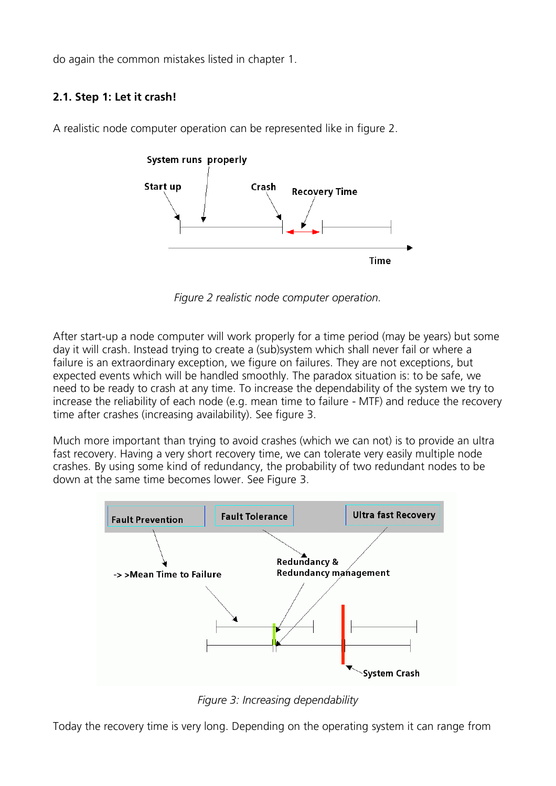do again the common mistakes listed in chapter 1.

### **2.1. Step 1: Let it crash!**



A realistic node computer operation can be represented like in figure 2.

*Figure 2 realistic node computer operation.*

After start-up a node computer will work properly for a time period (may be years) but some day it will crash. Instead trying to create a (sub)system which shall never fail or where a failure is an extraordinary exception, we figure on failures. They are not exceptions, but expected events which will be handled smoothly. The paradox situation is: to be safe, we need to be ready to crash at any time. To increase the dependability of the system we try to increase the reliability of each node (e.g. mean time to failure - MTF) and reduce the recovery time after crashes (increasing availability). See figure 3.

Much more important than trying to avoid crashes (which we can not) is to provide an ultra fast recovery. Having a very short recovery time, we can tolerate very easily multiple node crashes. By using some kind of redundancy, the probability of two redundant nodes to be down at the same time becomes lower. See Figure 3.



*Figure 3: Increasing dependability*

Today the recovery time is very long. Depending on the operating system it can range from